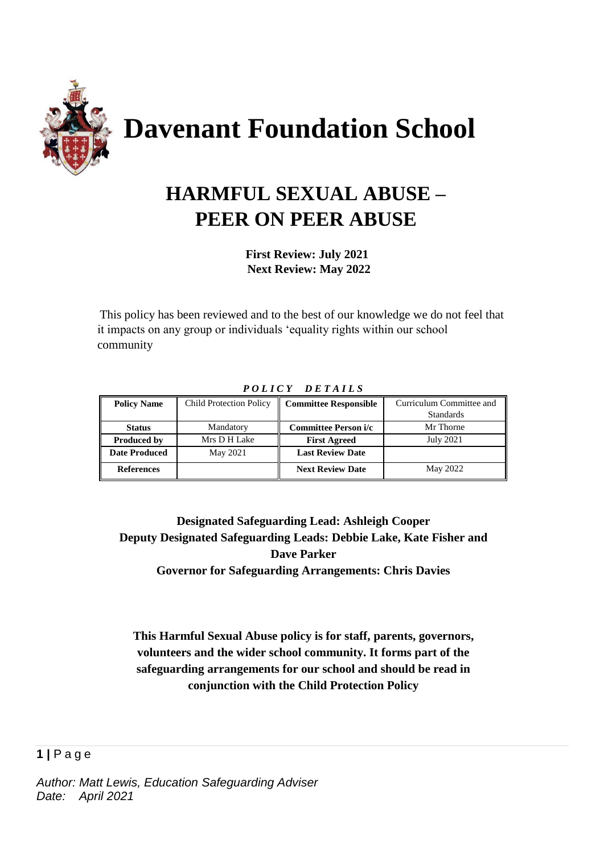

# **HARMFUL SEXUAL ABUSE – PEER ON PEER ABUSE**

 **First Review: July 2021 Next Review: May 2022**

This policy has been reviewed and to the best of our knowledge we do not feel that it impacts on any group or individuals 'equality rights within our school community

| <b>Policy Name</b>   | <b>Child Protection Policy</b> | <b>Committee Responsible</b> | Curriculum Committee and |
|----------------------|--------------------------------|------------------------------|--------------------------|
|                      |                                |                              | <b>Standards</b>         |
| <b>Status</b>        | Mandatory                      | <b>Committee Person i/c</b>  | Mr Thorne                |
| <b>Produced by</b>   | Mrs D H Lake                   | <b>First Agreed</b>          | <b>July 2021</b>         |
| <b>Date Produced</b> | May 2021                       | <b>Last Review Date</b>      |                          |
| <b>References</b>    |                                | <b>Next Review Date</b>      | May 2022                 |

#### *P O L I C Y D E T A I L S*

**Designated Safeguarding Lead: Ashleigh Cooper Deputy Designated Safeguarding Leads: Debbie Lake, Kate Fisher and Dave Parker Governor for Safeguarding Arrangements: Chris Davies**

**This Harmful Sexual Abuse policy is for staff, parents, governors, volunteers and the wider school community. It forms part of the safeguarding arrangements for our school and should be read in conjunction with the Child Protection Policy**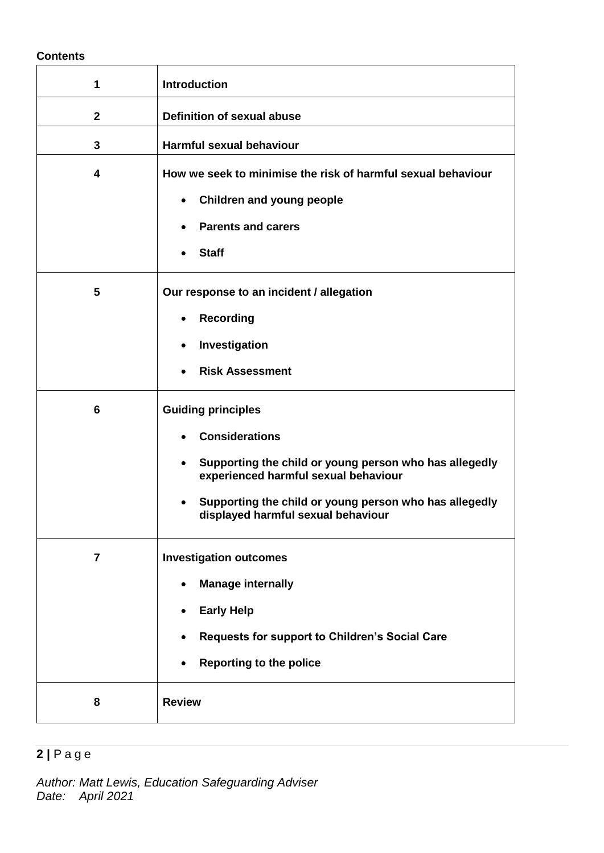#### **Contents**

| 1              | <b>Introduction</b>                                                                                                                                                                                                                                                            |  |  |
|----------------|--------------------------------------------------------------------------------------------------------------------------------------------------------------------------------------------------------------------------------------------------------------------------------|--|--|
| $\mathbf{2}$   | <b>Definition of sexual abuse</b>                                                                                                                                                                                                                                              |  |  |
| $\mathbf{3}$   | <b>Harmful sexual behaviour</b>                                                                                                                                                                                                                                                |  |  |
| 4              | How we seek to minimise the risk of harmful sexual behaviour<br><b>Children and young people</b><br>$\bullet$<br><b>Parents and carers</b><br><b>Staff</b>                                                                                                                     |  |  |
| 5              | Our response to an incident / allegation<br><b>Recording</b><br>$\bullet$<br>Investigation<br>٠<br><b>Risk Assessment</b>                                                                                                                                                      |  |  |
| 6              | <b>Guiding principles</b><br><b>Considerations</b><br>Supporting the child or young person who has allegedly<br>$\bullet$<br>experienced harmful sexual behaviour<br>Supporting the child or young person who has allegedly<br>$\bullet$<br>displayed harmful sexual behaviour |  |  |
| $\overline{7}$ | <b>Investigation outcomes</b><br><b>Manage internally</b><br><b>Early Help</b><br>$\bullet$<br>Requests for support to Children's Social Care<br><b>Reporting to the police</b>                                                                                                |  |  |
| 8              | <b>Review</b>                                                                                                                                                                                                                                                                  |  |  |

## **2 |** P a g e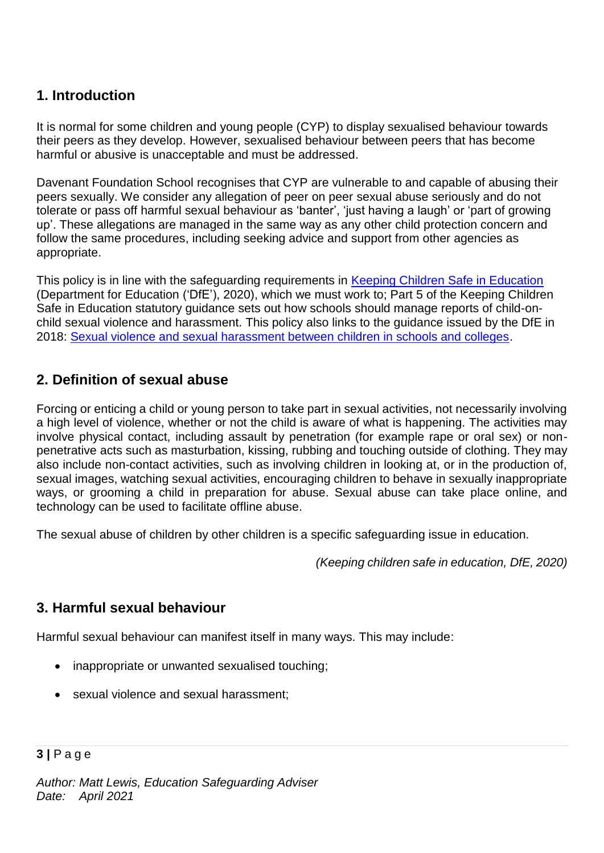## **1. Introduction**

It is normal for some children and young people (CYP) to display sexualised behaviour towards their peers as they develop. However, sexualised behaviour between peers that has become harmful or abusive is unacceptable and must be addressed.

Davenant Foundation School recognises that CYP are vulnerable to and capable of abusing their peers sexually. We consider any allegation of peer on peer sexual abuse seriously and do not tolerate or pass off harmful sexual behaviour as 'banter', 'just having a laugh' or 'part of growing up'. These allegations are managed in the same way as any other child protection concern and follow the same procedures, including seeking advice and support from other agencies as appropriate.

This policy is in line with the safeguarding requirements in [Keeping Children Safe in Education](https://eur02.safelinks.protection.outlook.com/?url=https%3A%2F%2Fassets.publishing.service.gov.uk%2Fgovernment%2Fuploads%2Fsystem%2Fuploads%2Fattachment_data%2Ffile%2F954314%2FKeeping_children_safe_in_education_2020_-_Update_-_January_2021.pdf&data=04%7C01%7C%7Cf2e9fff87b2149eb72d208d8fe84ac80%7Ca8b4324f155c4215a0f17ed8cc9a992f%7C0%7C0%7C637539193225028841%7CUnknown%7CTWFpbGZsb3d8eyJWIjoiMC4wLjAwMDAiLCJQIjoiV2luMzIiLCJBTiI6Ik1haWwiLCJXVCI6Mn0%3D%7C1000&sdata=VnfJGiVrh%2BweNNu%2BiwjdcWv8RJzWF6EvSn1d8NGC7oE%3D&reserved=0) (Department for Education ('DfE'), 2020), which we must work to; Part 5 of the Keeping Children Safe in Education statutory guidance sets out how schools should manage reports of child-onchild sexual violence and harassment. This policy also links to the guidance issued by the DfE in 2018: [Sexual violence and sexual harassment between children in schools and colleges.](https://eur02.safelinks.protection.outlook.com/?url=https%3A%2F%2Fwww.gov.uk%2Fgovernment%2Fpublications%2Fsexual-violence-and-sexual-harassment-between-children-in-schools-and-colleges&data=04%7C01%7C%7Cf2e9fff87b2149eb72d208d8fe84ac80%7Ca8b4324f155c4215a0f17ed8cc9a992f%7C0%7C0%7C637539193225038798%7CUnknown%7CTWFpbGZsb3d8eyJWIjoiMC4wLjAwMDAiLCJQIjoiV2luMzIiLCJBTiI6Ik1haWwiLCJXVCI6Mn0%3D%7C1000&sdata=ZYrHV9%2FJUndIMjNVX505sSFT9UICMSs637uOd9Oag4Q%3D&reserved=0)

## **2. Definition of sexual abuse**

Forcing or enticing a child or young person to take part in sexual activities, not necessarily involving a high level of violence, whether or not the child is aware of what is happening. The activities may involve physical contact, including assault by penetration (for example rape or oral sex) or nonpenetrative acts such as masturbation, kissing, rubbing and touching outside of clothing. They may also include non-contact activities, such as involving children in looking at, or in the production of, sexual images, watching sexual activities, encouraging children to behave in sexually inappropriate ways, or grooming a child in preparation for abuse. Sexual abuse can take place online, and technology can be used to facilitate offline abuse.

The sexual abuse of children by other children is a specific safeguarding issue in education.

*(Keeping children safe in education, DfE, 2020)*

## **3. Harmful sexual behaviour**

Harmful sexual behaviour can manifest itself in many ways. This may include:

- inappropriate or unwanted sexualised touching;
- sexual violence and sexual harassment;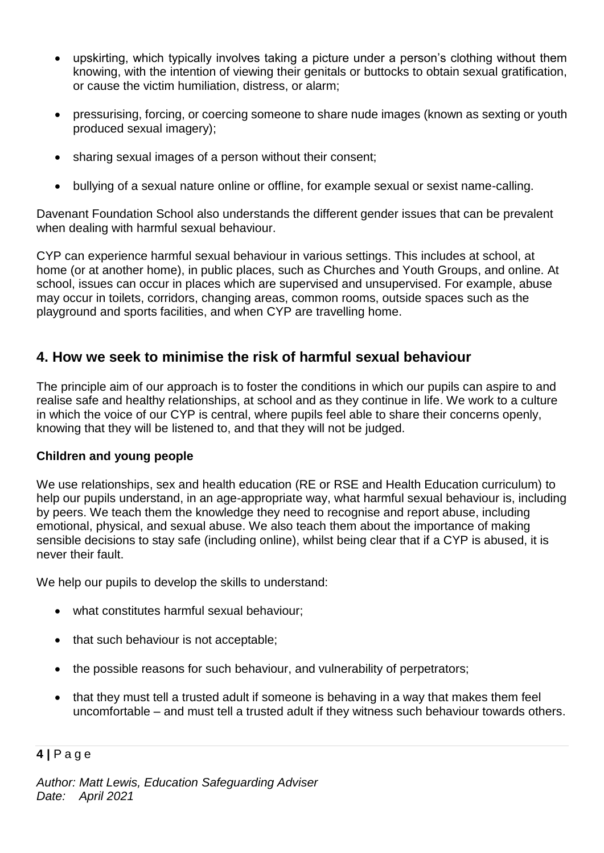- upskirting, which typically involves taking a picture under a person's clothing without them knowing, with the intention of viewing their genitals or buttocks to obtain sexual gratification, or cause the victim humiliation, distress, or alarm;
- pressurising, forcing, or coercing someone to share nude images (known as sexting or youth produced sexual imagery);
- sharing sexual images of a person without their consent;
- bullying of a sexual nature online or offline, for example sexual or sexist name-calling.

Davenant Foundation School also understands the different gender issues that can be prevalent when dealing with harmful sexual behaviour.

CYP can experience harmful sexual behaviour in various settings. This includes at school, at home (or at another home), in public places, such as Churches and Youth Groups, and online. At school, issues can occur in places which are supervised and unsupervised. For example, abuse may occur in toilets, corridors, changing areas, common rooms, outside spaces such as the playground and sports facilities, and when CYP are travelling home.

## **4. How we seek to minimise the risk of harmful sexual behaviour**

The principle aim of our approach is to foster the conditions in which our pupils can aspire to and realise safe and healthy relationships, at school and as they continue in life. We work to a culture in which the voice of our CYP is central, where pupils feel able to share their concerns openly, knowing that they will be listened to, and that they will not be judged.

#### **Children and young people**

We use relationships, sex and health education (RE or RSE and Health Education curriculum) to help our pupils understand, in an age-appropriate way, what harmful sexual behaviour is, including by peers. We teach them the knowledge they need to recognise and report abuse, including emotional, physical, and sexual abuse. We also teach them about the importance of making sensible decisions to stay safe (including online), whilst being clear that if a CYP is abused, it is never their fault.

We help our pupils to develop the skills to understand:

- what constitutes harmful sexual behaviour;
- that such behaviour is not acceptable;
- the possible reasons for such behaviour, and vulnerability of perpetrators;
- that they must tell a trusted adult if someone is behaving in a way that makes them feel uncomfortable – and must tell a trusted adult if they witness such behaviour towards others.

#### **4 |** P a g e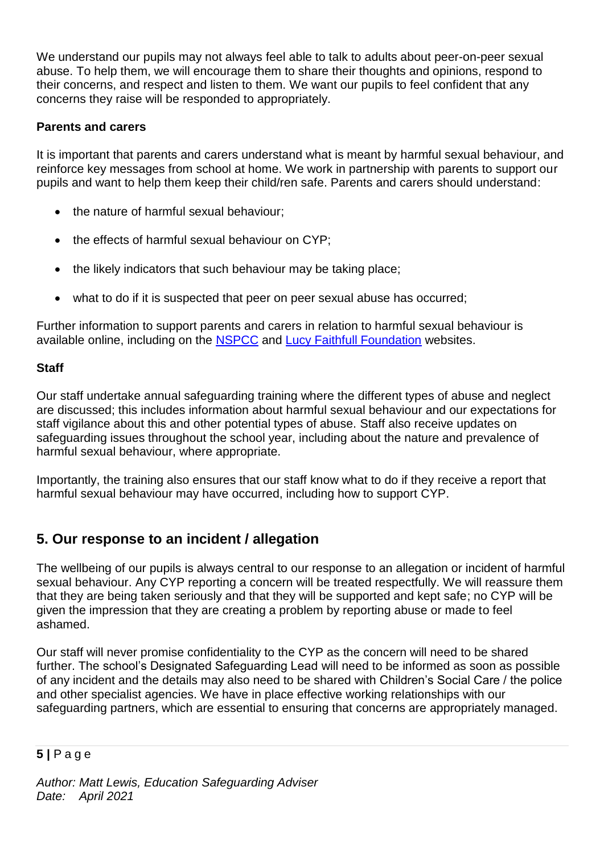We understand our pupils may not always feel able to talk to adults about peer-on-peer sexual abuse. To help them, we will encourage them to share their thoughts and opinions, respond to their concerns, and respect and listen to them. We want our pupils to feel confident that any concerns they raise will be responded to appropriately.

#### **Parents and carers**

It is important that parents and carers understand what is meant by harmful sexual behaviour, and reinforce key messages from school at home. We work in partnership with parents to support our pupils and want to help them keep their child/ren safe. Parents and carers should understand:

- the nature of harmful sexual behaviour;
- the effects of harmful sexual behaviour on CYP:
- the likely indicators that such behaviour may be taking place;
- what to do if it is suspected that peer on peer sexual abuse has occurred;

Further information to support parents and carers in relation to harmful sexual behaviour is available online, including on the [NSPCC](https://www.nspcc.org.uk/what-is-child-abuse/types-of-abuse/child-sexual-abuse/#support) and [Lucy Faithfull Foundation](https://www.lucyfaithfull.org.uk/parents-protect.htm) websites.

#### **Staff**

Our staff undertake annual safeguarding training where the different types of abuse and neglect are discussed; this includes information about harmful sexual behaviour and our expectations for staff vigilance about this and other potential types of abuse. Staff also receive updates on safeguarding issues throughout the school year, including about the nature and prevalence of harmful sexual behaviour, where appropriate.

Importantly, the training also ensures that our staff know what to do if they receive a report that harmful sexual behaviour may have occurred, including how to support CYP.

## **5. Our response to an incident / allegation**

The wellbeing of our pupils is always central to our response to an allegation or incident of harmful sexual behaviour. Any CYP reporting a concern will be treated respectfully. We will reassure them that they are being taken seriously and that they will be supported and kept safe; no CYP will be given the impression that they are creating a problem by reporting abuse or made to feel ashamed.

Our staff will never promise confidentiality to the CYP as the concern will need to be shared further. The school's Designated Safeguarding Lead will need to be informed as soon as possible of any incident and the details may also need to be shared with Children's Social Care / the police and other specialist agencies. We have in place effective working relationships with our safeguarding partners, which are essential to ensuring that concerns are appropriately managed.

#### **5 |** P a g e

*Author: Matt Lewis, Education Safeguarding Adviser Date: April 2021*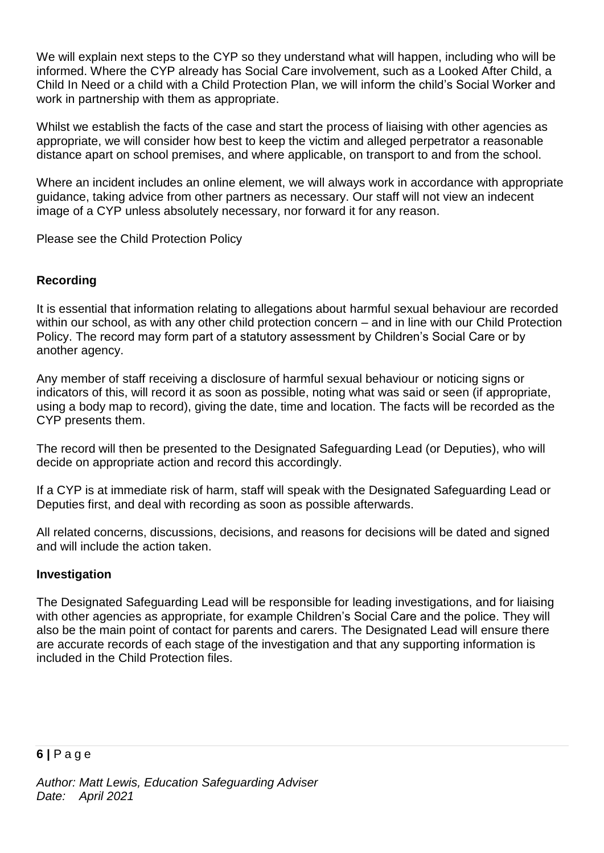We will explain next steps to the CYP so they understand what will happen, including who will be informed. Where the CYP already has Social Care involvement, such as a Looked After Child, a Child In Need or a child with a Child Protection Plan, we will inform the child's Social Worker and work in partnership with them as appropriate.

Whilst we establish the facts of the case and start the process of liaising with other agencies as appropriate, we will consider how best to keep the victim and alleged perpetrator a reasonable distance apart on school premises, and where applicable, on transport to and from the school.

Where an incident includes an online element, we will always work in accordance with appropriate guidance, taking advice from other partners as necessary. Our staff will not view an indecent image of a CYP unless absolutely necessary, nor forward it for any reason.

Please see the Child Protection Policy

#### **Recording**

It is essential that information relating to allegations about harmful sexual behaviour are recorded within our school, as with any other child protection concern – and in line with our Child Protection Policy. The record may form part of a statutory assessment by Children's Social Care or by another agency.

Any member of staff receiving a disclosure of harmful sexual behaviour or noticing signs or indicators of this, will record it as soon as possible, noting what was said or seen (if appropriate, using a body map to record), giving the date, time and location. The facts will be recorded as the CYP presents them.

The record will then be presented to the Designated Safeguarding Lead (or Deputies), who will decide on appropriate action and record this accordingly.

If a CYP is at immediate risk of harm, staff will speak with the Designated Safeguarding Lead or Deputies first, and deal with recording as soon as possible afterwards.

All related concerns, discussions, decisions, and reasons for decisions will be dated and signed and will include the action taken.

#### **Investigation**

The Designated Safeguarding Lead will be responsible for leading investigations, and for liaising with other agencies as appropriate, for example Children's Social Care and the police. They will also be the main point of contact for parents and carers. The Designated Lead will ensure there are accurate records of each stage of the investigation and that any supporting information is included in the Child Protection files.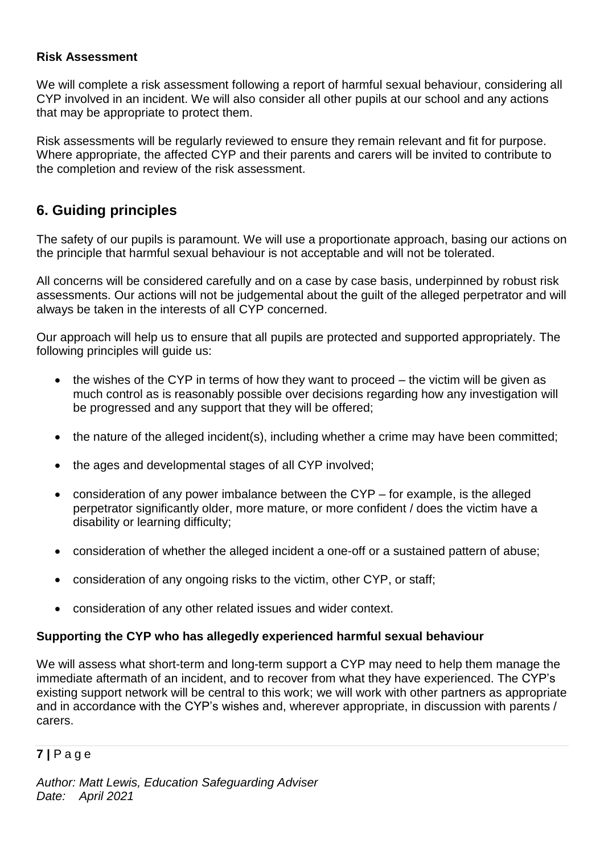#### **Risk Assessment**

We will complete a risk assessment following a report of harmful sexual behaviour, considering all CYP involved in an incident. We will also consider all other pupils at our school and any actions that may be appropriate to protect them.

Risk assessments will be regularly reviewed to ensure they remain relevant and fit for purpose. Where appropriate, the affected CYP and their parents and carers will be invited to contribute to the completion and review of the risk assessment.

## **6. Guiding principles**

The safety of our pupils is paramount. We will use a proportionate approach, basing our actions on the principle that harmful sexual behaviour is not acceptable and will not be tolerated.

All concerns will be considered carefully and on a case by case basis, underpinned by robust risk assessments. Our actions will not be judgemental about the guilt of the alleged perpetrator and will always be taken in the interests of all CYP concerned.

Our approach will help us to ensure that all pupils are protected and supported appropriately. The following principles will guide us:

- the wishes of the CYP in terms of how they want to proceed the victim will be given as much control as is reasonably possible over decisions regarding how any investigation will be progressed and any support that they will be offered;
- the nature of the alleged incident(s), including whether a crime may have been committed;
- the ages and developmental stages of all CYP involved;
- consideration of any power imbalance between the CYP for example, is the alleged perpetrator significantly older, more mature, or more confident / does the victim have a disability or learning difficulty;
- consideration of whether the alleged incident a one-off or a sustained pattern of abuse;
- consideration of any ongoing risks to the victim, other CYP, or staff;
- consideration of any other related issues and wider context.

#### **Supporting the CYP who has allegedly experienced harmful sexual behaviour**

We will assess what short-term and long-term support a CYP may need to help them manage the immediate aftermath of an incident, and to recover from what they have experienced. The CYP's existing support network will be central to this work; we will work with other partners as appropriate and in accordance with the CYP's wishes and, wherever appropriate, in discussion with parents / carers.

#### **7 |** P a g e

*Author: Matt Lewis, Education Safeguarding Adviser Date: April 2021*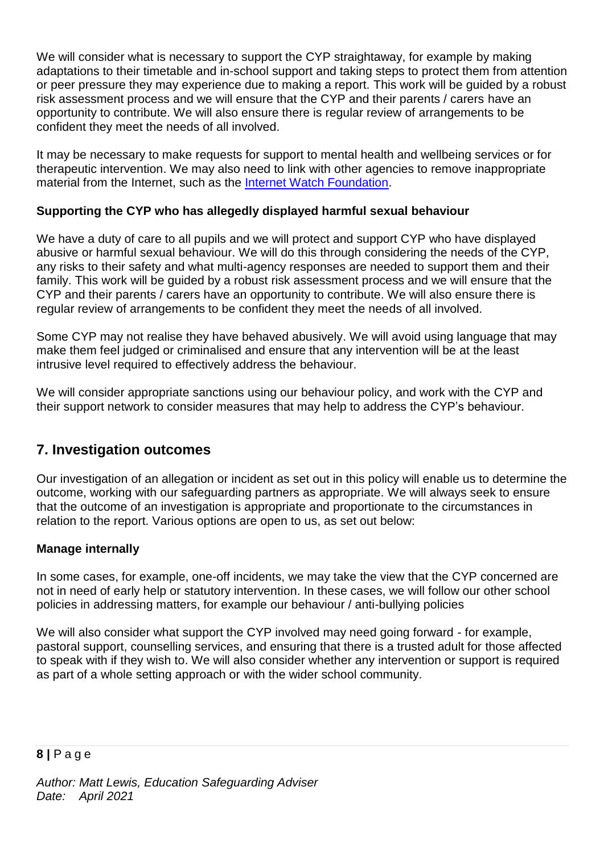We will consider what is necessary to support the CYP straightaway, for example by making adaptations to their timetable and in-school support and taking steps to protect them from attention or peer pressure they may experience due to making a report. This work will be guided by a robust risk assessment process and we will ensure that the CYP and their parents / carers have an opportunity to contribute. We will also ensure there is regular review of arrangements to be confident they meet the needs of all involved.

It may be necessary to make requests for support to mental health and wellbeing services or for therapeutic intervention. We may also need to link with other agencies to remove inappropriate material from the Internet, such as the [Internet Watch Foundation.](https://www.iwf.org.uk/)

#### **Supporting the CYP who has allegedly displayed harmful sexual behaviour**

We have a duty of care to all pupils and we will protect and support CYP who have displayed abusive or harmful sexual behaviour. We will do this through considering the needs of the CYP, any risks to their safety and what multi-agency responses are needed to support them and their family. This work will be guided by a robust risk assessment process and we will ensure that the CYP and their parents / carers have an opportunity to contribute. We will also ensure there is regular review of arrangements to be confident they meet the needs of all involved.

Some CYP may not realise they have behaved abusively. We will avoid using language that may make them feel judged or criminalised and ensure that any intervention will be at the least intrusive level required to effectively address the behaviour.

We will consider appropriate sanctions using our behaviour policy, and work with the CYP and their support network to consider measures that may help to address the CYP's behaviour.

## **7. Investigation outcomes**

Our investigation of an allegation or incident as set out in this policy will enable us to determine the outcome, working with our safeguarding partners as appropriate. We will always seek to ensure that the outcome of an investigation is appropriate and proportionate to the circumstances in relation to the report. Various options are open to us, as set out below:

#### **Manage internally**

In some cases, for example, one-off incidents, we may take the view that the CYP concerned are not in need of early help or statutory intervention. In these cases, we will follow our other school policies in addressing matters, for example our behaviour / anti-bullying policies

We will also consider what support the CYP involved may need going forward - for example, pastoral support, counselling services, and ensuring that there is a trusted adult for those affected to speak with if they wish to. We will also consider whether any intervention or support is required as part of a whole setting approach or with the wider school community.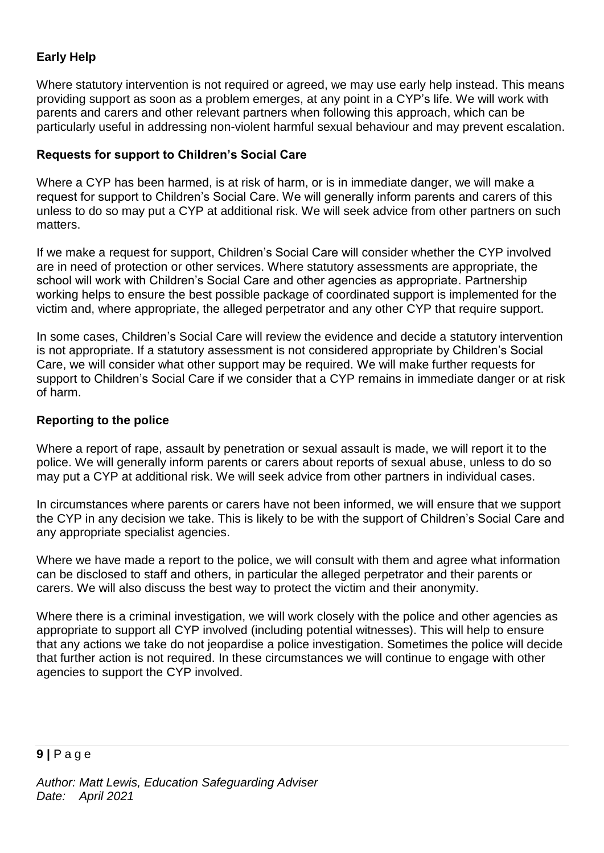## **Early Help**

Where statutory intervention is not required or agreed, we may use early help instead. This means providing support as soon as a problem emerges, at any point in a CYP's life. We will work with parents and carers and other relevant partners when following this approach, which can be particularly useful in addressing non-violent harmful sexual behaviour and may prevent escalation.

## **Requests for support to Children's Social Care**

Where a CYP has been harmed, is at risk of harm, or is in immediate danger, we will make a request for support to Children's Social Care. We will generally inform parents and carers of this unless to do so may put a CYP at additional risk. We will seek advice from other partners on such matters.

If we make a request for support, Children's Social Care will consider whether the CYP involved are in need of protection or other services. Where statutory assessments are appropriate, the school will work with Children's Social Care and other agencies as appropriate. Partnership working helps to ensure the best possible package of coordinated support is implemented for the victim and, where appropriate, the alleged perpetrator and any other CYP that require support.

In some cases, Children's Social Care will review the evidence and decide a statutory intervention is not appropriate. If a statutory assessment is not considered appropriate by Children's Social Care, we will consider what other support may be required. We will make further requests for support to Children's Social Care if we consider that a CYP remains in immediate danger or at risk of harm.

#### **Reporting to the police**

Where a report of rape, assault by penetration or sexual assault is made, we will report it to the police. We will generally inform parents or carers about reports of sexual abuse, unless to do so may put a CYP at additional risk. We will seek advice from other partners in individual cases.

In circumstances where parents or carers have not been informed, we will ensure that we support the CYP in any decision we take. This is likely to be with the support of Children's Social Care and any appropriate specialist agencies.

Where we have made a report to the police, we will consult with them and agree what information can be disclosed to staff and others, in particular the alleged perpetrator and their parents or carers. We will also discuss the best way to protect the victim and their anonymity.

Where there is a criminal investigation, we will work closely with the police and other agencies as appropriate to support all CYP involved (including potential witnesses). This will help to ensure that any actions we take do not jeopardise a police investigation. Sometimes the police will decide that further action is not required. In these circumstances we will continue to engage with other agencies to support the CYP involved.